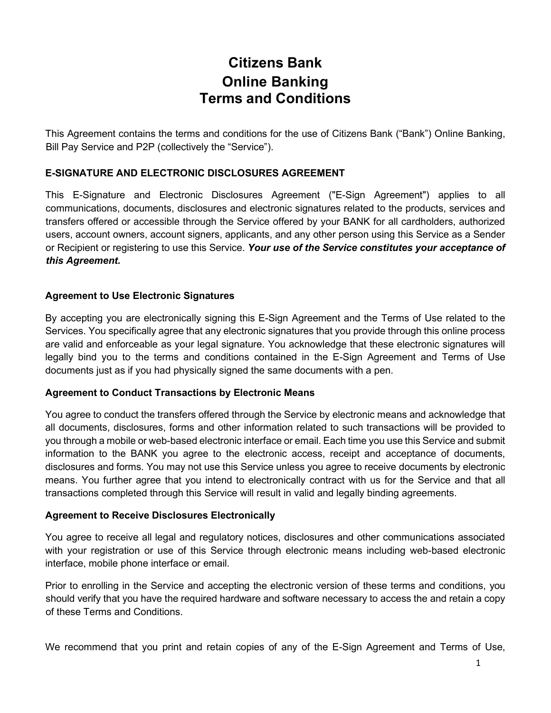# **Citizens Bank Online Banking Terms and Conditions**

This Agreement contains the terms and conditions for the use of Citizens Bank ("Bank") Online Banking, Bill Pay Service and P2P (collectively the "Service").

## **E-SIGNATURE AND ELECTRONIC DISCLOSURES AGREEMENT**

This E-Signature and Electronic Disclosures Agreement ("E-Sign Agreement") applies to all communications, documents, disclosures and electronic signatures related to the products, services and transfers offered or accessible through the Service offered by your BANK for all cardholders, authorized users, account owners, account signers, applicants, and any other person using this Service as a Sender or Recipient or registering to use this Service. *Your use of the Service constitutes your acceptance of this Agreement.*

#### **Agreement to Use Electronic Signatures**

By accepting you are electronically signing this E-Sign Agreement and the Terms of Use related to the Services. You specifically agree that any electronic signatures that you provide through this online process are valid and enforceable as your legal signature. You acknowledge that these electronic signatures will legally bind you to the terms and conditions contained in the E-Sign Agreement and Terms of Use documents just as if you had physically signed the same documents with a pen.

#### **Agreement to Conduct Transactions by Electronic Means**

You agree to conduct the transfers offered through the Service by electronic means and acknowledge that all documents, disclosures, forms and other information related to such transactions will be provided to you through a mobile or web-based electronic interface or email. Each time you use this Service and submit information to the BANK you agree to the electronic access, receipt and acceptance of documents, disclosures and forms. You may not use this Service unless you agree to receive documents by electronic means. You further agree that you intend to electronically contract with us for the Service and that all transactions completed through this Service will result in valid and legally binding agreements.

#### **Agreement to Receive Disclosures Electronically**

You agree to receive all legal and regulatory notices, disclosures and other communications associated with your registration or use of this Service through electronic means including web-based electronic interface, mobile phone interface or email.

Prior to enrolling in the Service and accepting the electronic version of these terms and conditions, you should verify that you have the required hardware and software necessary to access the and retain a copy of these Terms and Conditions.

We recommend that you print and retain copies of any of the E-Sign Agreement and Terms of Use,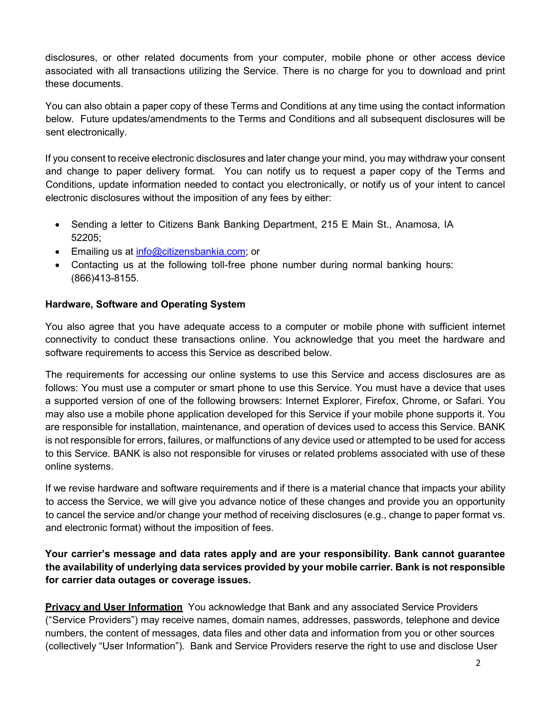disclosures, or other related documents from your computer, mobile phone or other access device associated with all transactions utilizing the Service. There is no charge for you to download and print these documents.

You can also obtain a paper copy of these Terms and Conditions at any time using the contact information below. Future updates/amendments to the Terms and Conditions and all subsequent disclosures will be sent electronically.

If you consent to receive electronic disclosures and later change your mind, you may withdraw your consent and change to paper delivery format. You can notify us to request a paper copy of the Terms and Conditions, update information needed to contact you electronically, or notify us of your intent to cancel electronic disclosures without the imposition of any fees by either:

- Sending a letter to Citizens Bank Banking Department, 215 E Main St., Anamosa, IA 52205;
- Emailing us at [info@citizensbankia.com;](mailto:info@citizensbankia.com) or
- Contacting us at the following toll-free phone number during normal banking hours: (866)413-8155.

# **Hardware, Software and Operating System**

You also agree that you have adequate access to a computer or mobile phone with sufficient internet connectivity to conduct these transactions online. You acknowledge that you meet the hardware and software requirements to access this Service as described below.

The requirements for accessing our online systems to use this Service and access disclosures are as follows: You must use a computer or smart phone to use this Service. You must have a device that uses a supported version of one of the following browsers: Internet Explorer, Firefox, Chrome, or Safari. You may also use a mobile phone application developed for this Service if your mobile phone supports it. You are responsible for installation, maintenance, and operation of devices used to access this Service. BANK is not responsible for errors, failures, or malfunctions of any device used or attempted to be used for access to this Service. BANK is also not responsible for viruses or related problems associated with use of these online systems.

If we revise hardware and software requirements and if there is a material chance that impacts your ability to access the Service, we will give you advance notice of these changes and provide you an opportunity to cancel the service and/or change your method of receiving disclosures (e.g., change to paper format vs. and electronic format) without the imposition of fees.

**Your carrier's message and data rates apply and are your responsibility. Bank cannot guarantee the availability of underlying data services provided by your mobile carrier. Bank is not responsible for carrier data outages or coverage issues.**

**Privacy and User Information** You acknowledge that Bank and any associated Service Providers ("Service Providers") may receive names, domain names, addresses, passwords, telephone and device numbers, the content of messages, data files and other data and information from you or other sources (collectively "User Information"). Bank and Service Providers reserve the right to use and disclose User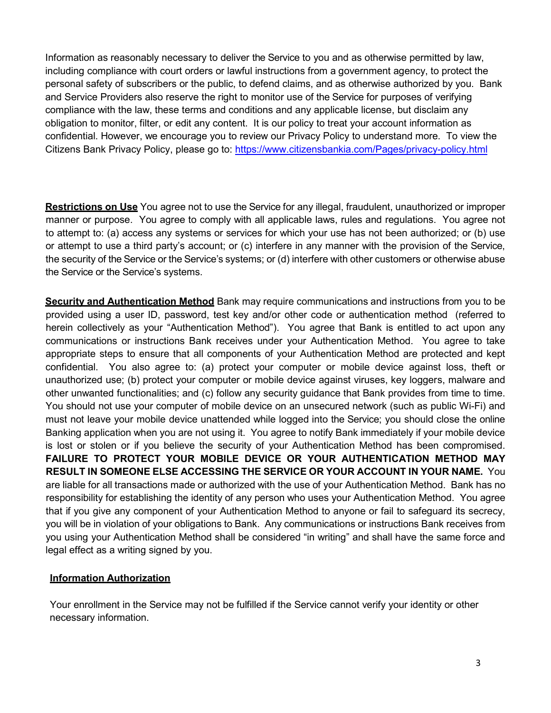Information as reasonably necessary to deliver the Service to you and as otherwise permitted by law, including compliance with court orders or lawful instructions from a government agency, to protect the personal safety of subscribers or the public, to defend claims, and as otherwise authorized by you. Bank and Service Providers also reserve the right to monitor use of the Service for purposes of verifying compliance with the law, these terms and conditions and any applicable license, but disclaim any obligation to monitor, filter, or edit any content. It is our policy to treat your account information as confidential. However, we encourage you to review our Privacy Policy to understand more. To view the Citizens Bank Privacy Policy, please go to: <https://www.citizensbankia.com/Pages/privacy-policy.html>

**Restrictions on Use** You agree not to use the Service for any illegal, fraudulent, unauthorized or improper manner or purpose. You agree to comply with all applicable laws, rules and regulations. You agree not to attempt to: (a) access any systems or services for which your use has not been authorized; or (b) use or attempt to use a third party's account; or (c) interfere in any manner with the provision of the Service, the security of the Service or the Service's systems; or (d) interfere with other customers or otherwise abuse the Service or the Service's systems.

**Security and Authentication Method** Bank may require communications and instructions from you to be provided using a user ID, password, test key and/or other code or authentication method (referred to herein collectively as your "Authentication Method"). You agree that Bank is entitled to act upon any communications or instructions Bank receives under your Authentication Method. You agree to take appropriate steps to ensure that all components of your Authentication Method are protected and kept confidential. You also agree to: (a) protect your computer or mobile device against loss, theft or unauthorized use; (b) protect your computer or mobile device against viruses, key loggers, malware and other unwanted functionalities; and (c) follow any security guidance that Bank provides from time to time. You should not use your computer of mobile device on an unsecured network (such as public Wi-Fi) and must not leave your mobile device unattended while logged into the Service; you should close the online Banking application when you are not using it. You agree to notify Bank immediately if your mobile device is lost or stolen or if you believe the security of your Authentication Method has been compromised. **FAILURE TO PROTECT YOUR MOBILE DEVICE OR YOUR AUTHENTICATION METHOD MAY RESULT IN SOMEONE ELSE ACCESSING THE SERVICE OR YOUR ACCOUNT IN YOUR NAME.** You are liable for all transactions made or authorized with the use of your Authentication Method. Bank has no responsibility for establishing the identity of any person who uses your Authentication Method. You agree that if you give any component of your Authentication Method to anyone or fail to safeguard its secrecy, you will be in violation of your obligations to Bank. Any communications or instructions Bank receives from you using your Authentication Method shall be considered "in writing" and shall have the same force and legal effect as a writing signed by you.

## **Information Authorization**

Your enrollment in the Service may not be fulfilled if the Service cannot verify your identity or other necessary information.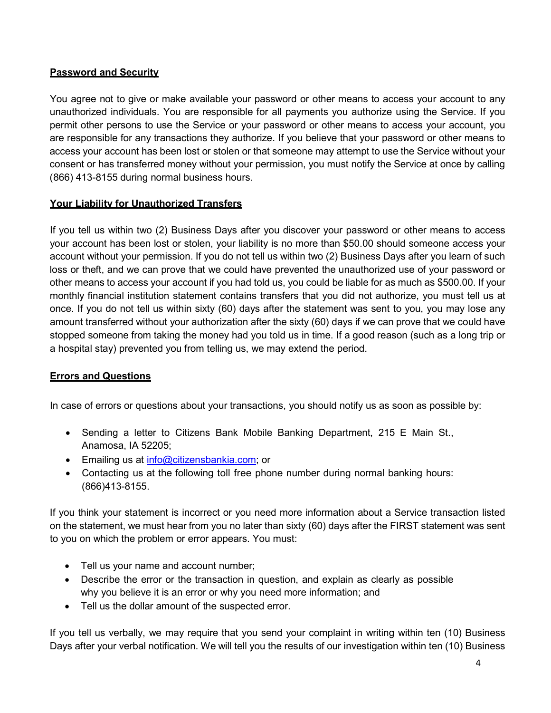# **Password and Security**

You agree not to give or make available your password or other means to access your account to any unauthorized individuals. You are responsible for all payments you authorize using the Service. If you permit other persons to use the Service or your password or other means to access your account, you are responsible for any transactions they authorize. If you believe that your password or other means to access your account has been lost or stolen or that someone may attempt to use the Service without your consent or has transferred money without your permission, you must notify the Service at once by calling (866) 413-8155 during normal business hours.

## **Your Liability for Unauthorized Transfers**

If you tell us within two (2) Business Days after you discover your password or other means to access your account has been lost or stolen, your liability is no more than \$50.00 should someone access your account without your permission. If you do not tell us within two (2) Business Days after you learn of such loss or theft, and we can prove that we could have prevented the unauthorized use of your password or other means to access your account if you had told us, you could be liable for as much as \$500.00. If your monthly financial institution statement contains transfers that you did not authorize, you must tell us at once. If you do not tell us within sixty (60) days after the statement was sent to you, you may lose any amount transferred without your authorization after the sixty (60) days if we can prove that we could have stopped someone from taking the money had you told us in time. If a good reason (such as a long trip or a hospital stay) prevented you from telling us, we may extend the period.

## **Errors and Questions**

In case of errors or questions about your transactions, you should notify us as soon as possible by:

- Sending a letter to Citizens Bank Mobile Banking Department, 215 E Main St., Anamosa, IA 52205;
- Emailing us at [info@citizensbankia.com;](mailto:info@citizensbankia.com) or
- Contacting us at the following toll free phone number during normal banking hours: (866)413-8155.

If you think your statement is incorrect or you need more information about a Service transaction listed on the statement, we must hear from you no later than sixty (60) days after the FIRST statement was sent to you on which the problem or error appears. You must:

- Tell us your name and account number;
- Describe the error or the transaction in question, and explain as clearly as possible why you believe it is an error or why you need more information; and
- Tell us the dollar amount of the suspected error.

If you tell us verbally, we may require that you send your complaint in writing within ten (10) Business Days after your verbal notification. We will tell you the results of our investigation within ten (10) Business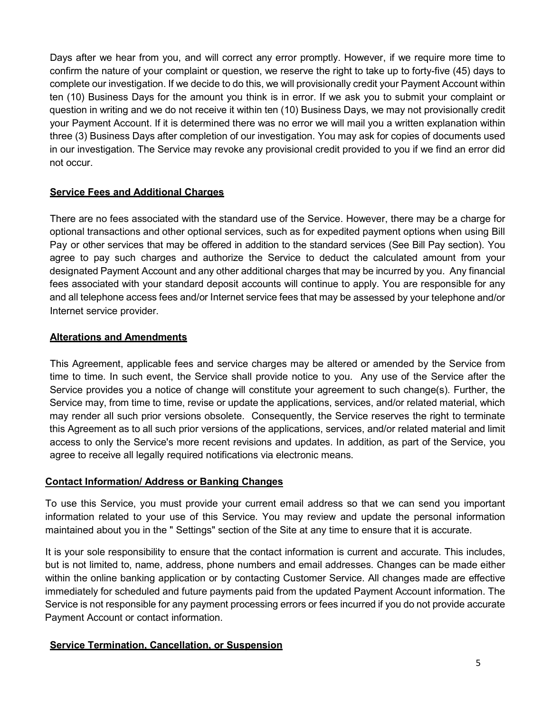Days after we hear from you, and will correct any error promptly. However, if we require more time to confirm the nature of your complaint or question, we reserve the right to take up to forty-five (45) days to complete our investigation. If we decide to do this, we will provisionally credit your Payment Account within ten (10) Business Days for the amount you think is in error. If we ask you to submit your complaint or question in writing and we do not receive it within ten (10) Business Days, we may not provisionally credit your Payment Account. If it is determined there was no error we will mail you a written explanation within three (3) Business Days after completion of our investigation. You may ask for copies of documents used in our investigation. The Service may revoke any provisional credit provided to you if we find an error did not occur.

## **Service Fees and Additional Charges**

There are no fees associated with the standard use of the Service. However, there may be a charge for optional transactions and other optional services, such as for expedited payment options when using Bill Pay or other services that may be offered in addition to the standard services (See Bill Pay section). You agree to pay such charges and authorize the Service to deduct the calculated amount from your designated Payment Account and any other additional charges that may be incurred by you. Any financial fees associated with your standard deposit accounts will continue to apply. You are responsible for any and all telephone access fees and/or Internet service fees that may be assessed by your telephone and/or Internet service provider.

#### **Alterations and Amendments**

This Agreement, applicable fees and service charges may be altered or amended by the Service from time to time. In such event, the Service shall provide notice to you. Any use of the Service after the Service provides you a notice of change will constitute your agreement to such change(s). Further, the Service may, from time to time, revise or update the applications, services, and/or related material, which may render all such prior versions obsolete. Consequently, the Service reserves the right to terminate this Agreement as to all such prior versions of the applications, services, and/or related material and limit access to only the Service's more recent revisions and updates. In addition, as part of the Service, you agree to receive all legally required notifications via electronic means.

#### **Contact Information/ Address or Banking Changes**

To use this Service, you must provide your current email address so that we can send you important information related to your use of this Service. You may review and update the personal information maintained about you in the " Settings" section of the Site at any time to ensure that it is accurate.

It is your sole responsibility to ensure that the contact information is current and accurate. This includes, but is not limited to, name, address, phone numbers and email addresses. Changes can be made either within the online banking application or by contacting Customer Service. All changes made are effective immediately for scheduled and future payments paid from the updated Payment Account information. The Service is not responsible for any payment processing errors or fees incurred if you do not provide accurate Payment Account or contact information.

#### **Service Termination, Cancellation, or Suspension**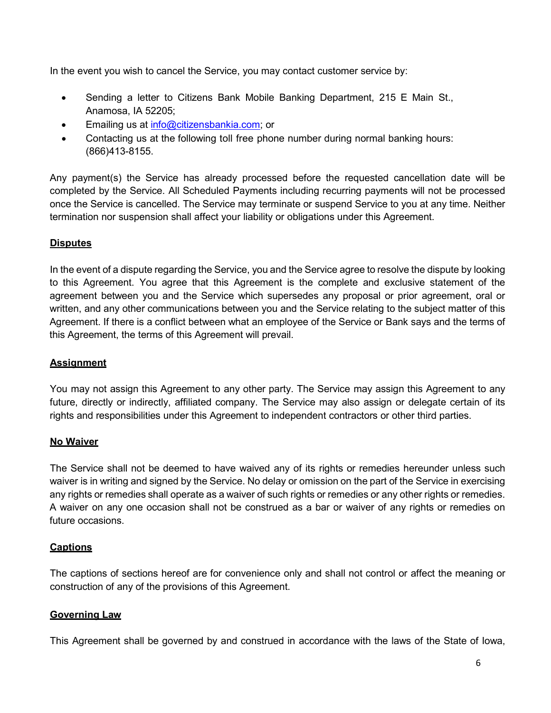In the event you wish to cancel the Service, you may contact customer service by:

- Sending a letter to Citizens Bank Mobile Banking Department, 215 E Main St., Anamosa, IA 52205;
- Emailing us at [info@citizensbankia.com;](mailto:info@citizensbankia.com) or
- Contacting us at the following toll free phone number during normal banking hours: (866)413-8155.

Any payment(s) the Service has already processed before the requested cancellation date will be completed by the Service. All Scheduled Payments including recurring payments will not be processed once the Service is cancelled. The Service may terminate or suspend Service to you at any time. Neither termination nor suspension shall affect your liability or obligations under this Agreement.

# **Disputes**

In the event of a dispute regarding the Service, you and the Service agree to resolve the dispute by looking to this Agreement. You agree that this Agreement is the complete and exclusive statement of the agreement between you and the Service which supersedes any proposal or prior agreement, oral or written, and any other communications between you and the Service relating to the subject matter of this Agreement. If there is a conflict between what an employee of the Service or Bank says and the terms of this Agreement, the terms of this Agreement will prevail.

## **Assignment**

You may not assign this Agreement to any other party. The Service may assign this Agreement to any future, directly or indirectly, affiliated company. The Service may also assign or delegate certain of its rights and responsibilities under this Agreement to independent contractors or other third parties.

## **No Waiver**

The Service shall not be deemed to have waived any of its rights or remedies hereunder unless such waiver is in writing and signed by the Service. No delay or omission on the part of the Service in exercising any rights or remedies shall operate as a waiver of such rights or remedies or any other rights or remedies. A waiver on any one occasion shall not be construed as a bar or waiver of any rights or remedies on future occasions.

## **Captions**

The captions of sections hereof are for convenience only and shall not control or affect the meaning or construction of any of the provisions of this Agreement.

## **Governing Law**

This Agreement shall be governed by and construed in accordance with the laws of the State of Iowa,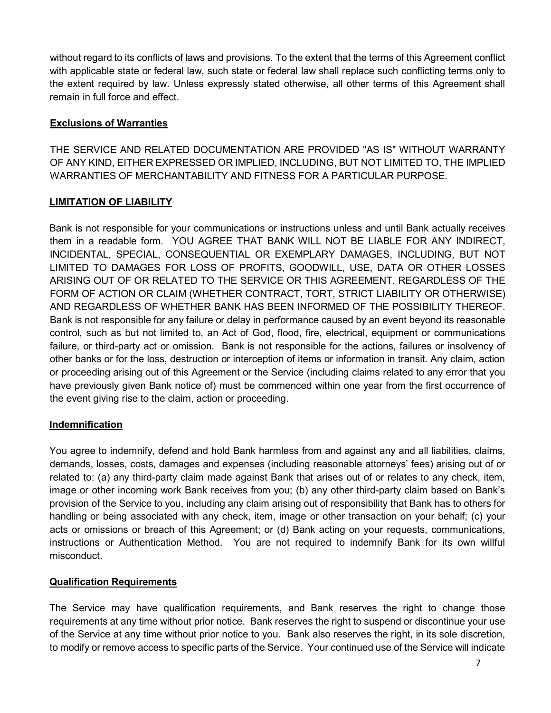without regard to its conflicts of laws and provisions. To the extent that the terms of this Agreement conflict with applicable state or federal law, such state or federal law shall replace such conflicting terms only to the extent required by law. Unless expressly stated otherwise, all other terms of this Agreement shall remain in full force and effect.

### **Exclusions of Warranties**

THE SERVICE AND RELATED DOCUMENTATION ARE PROVIDED "AS IS" WITHOUT WARRANTY OF ANY KIND, EITHER EXPRESSED OR IMPLIED, INCLUDING, BUT NOT LIMITED TO, THE IMPLIED WARRANTIES OF MERCHANTABILITY AND FITNESS FOR A PARTICULAR PURPOSE.

#### **LIMITATION OF LIABILITY**

Bank is not responsible for your communications or instructions unless and until Bank actually receives them in a readable form. YOU AGREE THAT BANK WILL NOT BE LIABLE FOR ANY INDIRECT, INCIDENTAL, SPECIAL, CONSEQUENTIAL OR EXEMPLARY DAMAGES, INCLUDING, BUT NOT LIMITED TO DAMAGES FOR LOSS OF PROFITS, GOODWILL, USE, DATA OR OTHER LOSSES ARISING OUT OF OR RELATED TO THE SERVICE OR THIS AGREEMENT, REGARDLESS OF THE FORM OF ACTION OR CLAIM (WHETHER CONTRACT, TORT, STRICT LIABILITY OR OTHERWISE) AND REGARDLESS OF WHETHER BANK HAS BEEN INFORMED OF THE POSSIBILITY THEREOF. Bank is not responsible for any failure or delay in performance caused by an event beyond its reasonable control, such as but not limited to, an Act of God, flood, fire, electrical, equipment or communications failure, or third-party act or omission. Bank is not responsible for the actions, failures or insolvency of other banks or for the loss, destruction or interception of items or information in transit. Any claim, action or proceeding arising out of this Agreement or the Service (including claims related to any error that you have previously given Bank notice of) must be commenced within one year from the first occurrence of the event giving rise to the claim, action or proceeding.

#### **Indemnification**

You agree to indemnify, defend and hold Bank harmless from and against any and all liabilities, claims, demands, losses, costs, damages and expenses (including reasonable attorneys' fees) arising out of or related to: (a) any third-party claim made against Bank that arises out of or relates to any check, item, image or other incoming work Bank receives from you; (b) any other third-party claim based on Bank's provision of the Service to you, including any claim arising out of responsibility that Bank has to others for handling or being associated with any check, item, image or other transaction on your behalf; (c) your acts or omissions or breach of this Agreement; or (d) Bank acting on your requests, communications, instructions or Authentication Method. You are not required to indemnify Bank for its own willful misconduct.

## **Qualification Requirements**

The Service may have qualification requirements, and Bank reserves the right to change those requirements at any time without prior notice. Bank reserves the right to suspend or discontinue your use of the Service at any time without prior notice to you. Bank also reserves the right, in its sole discretion, to modify or remove access to specific parts of the Service. Your continued use of the Service will indicate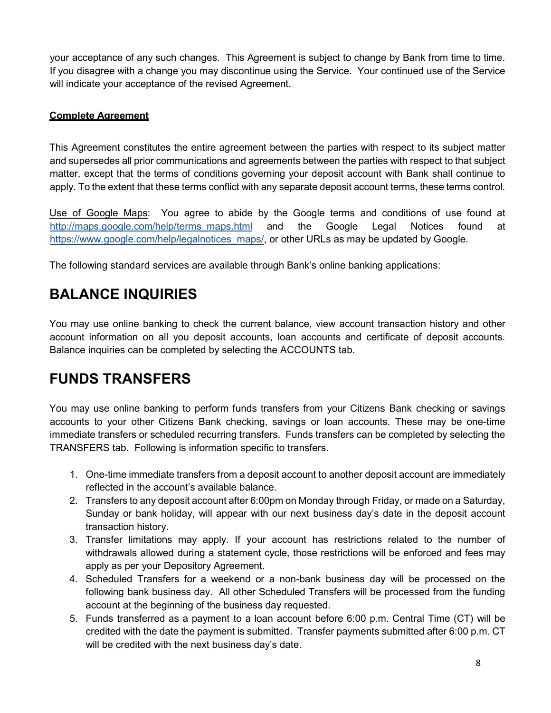your acceptance of any such changes. This Agreement is subject to change by Bank from time to time. If you disagree with a change you may discontinue using the Service. Your continued use of the Service will indicate your acceptance of the revised Agreement.

## **Complete Agreement**

This Agreement constitutes the entire agreement between the parties with respect to its subject matter and supersedes all prior communications and agreements between the parties with respect to that subject matter, except that the terms of conditions governing your deposit account with Bank shall continue to apply. To the extent that these terms conflict with any separate deposit account terms, these terms control.

Use of Google Maps: You agree to abide by the Google terms and conditions of use found at [http://maps.google.com/help/terms\\_maps.html](http://maps.google.com/help/terms_maps.html) and the Google Legal Notices found at https://www.google.com/help/legalnotices\_maps/, or other URLs as may be updated by Google.

The following standard services are available through Bank's online banking applications:

# **BALANCE INQUIRIES**

You may use online banking to check the current balance, view account transaction history and other account information on all you deposit accounts, loan accounts and certificate of deposit accounts. Balance inquiries can be completed by selecting the ACCOUNTS tab.

# **FUNDS TRANSFERS**

You may use online banking to perform funds transfers from your Citizens Bank checking or savings accounts to your other Citizens Bank checking, savings or loan accounts. These may be one-time immediate transfers or scheduled recurring transfers. Funds transfers can be completed by selecting the TRANSFERS tab. Following is information specific to transfers.

- 1. One-time immediate transfers from a deposit account to another deposit account are immediately reflected in the account's available balance.
- 2. Transfers to any deposit account after 6:00pm on Monday through Friday, or made on a Saturday, Sunday or bank holiday, will appear with our next business day's date in the deposit account transaction history.
- 3. Transfer limitations may apply. If your account has restrictions related to the number of withdrawals allowed during a statement cycle, those restrictions will be enforced and fees may apply as per your Depository Agreement.
- 4. Scheduled Transfers for a weekend or a non-bank business day will be processed on the following bank business day. All other Scheduled Transfers will be processed from the funding account at the beginning of the business day requested.
- 5. Funds transferred as a payment to a loan account before 6:00 p.m. Central Time (CT) will be credited with the date the payment is submitted. Transfer payments submitted after 6:00 p.m. CT will be credited with the next business day's date.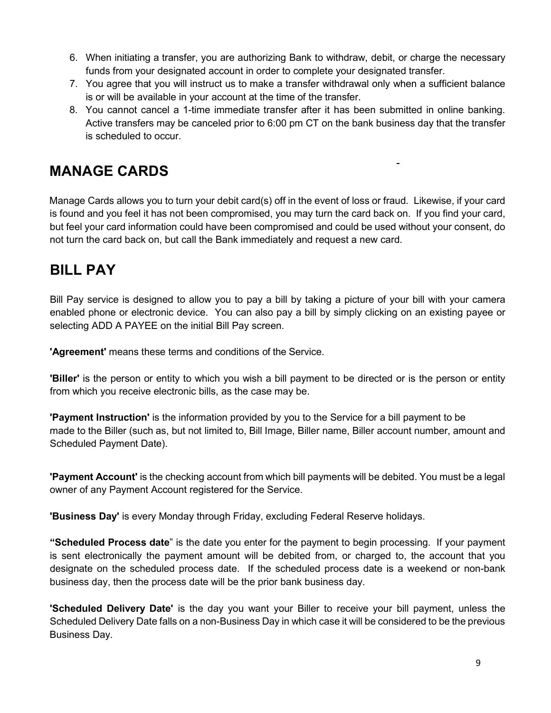- 6. When initiating a transfer, you are authorizing Bank to withdraw, debit, or charge the necessary funds from your designated account in order to complete your designated transfer.
- 7. You agree that you will instruct us to make a transfer withdrawal only when a sufficient balance is or will be available in your account at the time of the transfer.
- 8. You cannot cancel a 1-time immediate transfer after it has been submitted in online banking. Active transfers may be canceled prior to 6:00 pm CT on the bank business day that the transfer is scheduled to occur.

 $\overline{a}$ 

# **MANAGE CARDS**

Manage Cards allows you to turn your debit card(s) off in the event of loss or fraud. Likewise, if your card is found and you feel it has not been compromised, you may turn the card back on. If you find your card, but feel your card information could have been compromised and could be used without your consent, do not turn the card back on, but call the Bank immediately and request a new card.

# **BILL PAY**

Bill Pay service is designed to allow you to pay a bill by taking a picture of your bill with your camera enabled phone or electronic device. You can also pay a bill by simply clicking on an existing payee or selecting ADD A PAYEE on the initial Bill Pay screen.

**'Agreement'** means these terms and conditions of the Service.

**'Biller'** is the person or entity to which you wish a bill payment to be directed or is the person or entity from which you receive electronic bills, as the case may be.

**'Payment Instruction'** is the information provided by you to the Service for a bill payment to be made to the Biller (such as, but not limited to, Bill Image, Biller name, Biller account number, amount and Scheduled Payment Date).

**'Payment Account'** is the checking account from which bill payments will be debited. You must be a legal owner of any Payment Account registered for the Service.

**'Business Day'** is every Monday through Friday, excluding Federal Reserve holidays.

**"Scheduled Process date**" is the date you enter for the payment to begin processing. If your payment is sent electronically the payment amount will be debited from, or charged to, the account that you designate on the scheduled process date. If the scheduled process date is a weekend or non-bank business day, then the process date will be the prior bank business day.

**'Scheduled Delivery Date'** is the day you want your Biller to receive your bill payment, unless the Scheduled Delivery Date falls on a non-Business Day in which case it will be considered to be the previous Business Day.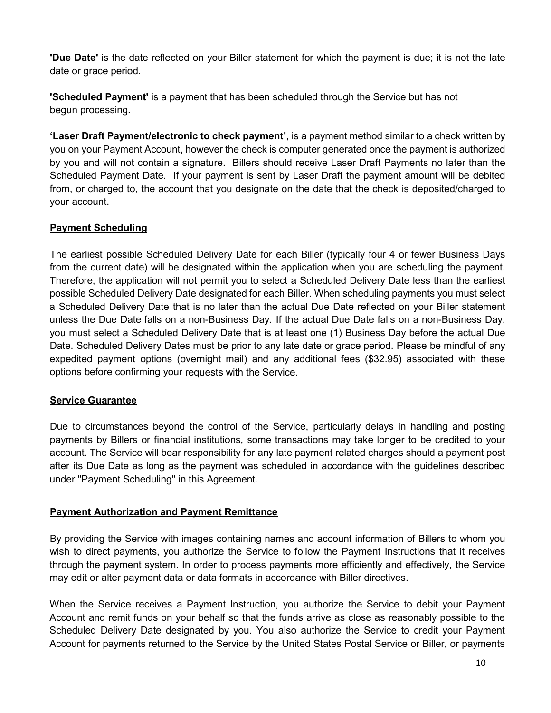**'Due Date'** is the date reflected on your Biller statement for which the payment is due; it is not the late date or grace period.

**'Scheduled Payment'** is a payment that has been scheduled through the Service but has not begun processing.

**'Laser Draft Payment/electronic to check payment'**, is a payment method similar to a check written by you on your Payment Account, however the check is computer generated once the payment is authorized by you and will not contain a signature. Billers should receive Laser Draft Payments no later than the Scheduled Payment Date. If your payment is sent by Laser Draft the payment amount will be debited from, or charged to, the account that you designate on the date that the check is deposited/charged to your account.

## **Payment Scheduling**

The earliest possible Scheduled Delivery Date for each Biller (typically four 4 or fewer Business Days from the current date) will be designated within the application when you are scheduling the payment. Therefore, the application will not permit you to select a Scheduled Delivery Date less than the earliest possible Scheduled Delivery Date designated for each Biller. When scheduling payments you must select a Scheduled Delivery Date that is no later than the actual Due Date reflected on your Biller statement unless the Due Date falls on a non-Business Day. If the actual Due Date falls on a non-Business Day, you must select a Scheduled Delivery Date that is at least one (1) Business Day before the actual Due Date. Scheduled Delivery Dates must be prior to any late date or grace period. Please be mindful of any expedited payment options (overnight mail) and any additional fees (\$32.95) associated with these options before confirming your requests with the Service.

## **Service Guarantee**

Due to circumstances beyond the control of the Service, particularly delays in handling and posting payments by Billers or financial institutions, some transactions may take longer to be credited to your account. The Service will bear responsibility for any late payment related charges should a payment post after its Due Date as long as the payment was scheduled in accordance with the guidelines described under "Payment Scheduling" in this Agreement.

#### **Payment Authorization and Payment Remittance**

By providing the Service with images containing names and account information of Billers to whom you wish to direct payments, you authorize the Service to follow the Payment Instructions that it receives through the payment system. In order to process payments more efficiently and effectively, the Service may edit or alter payment data or data formats in accordance with Biller directives.

When the Service receives a Payment Instruction, you authorize the Service to debit your Payment Account and remit funds on your behalf so that the funds arrive as close as reasonably possible to the Scheduled Delivery Date designated by you. You also authorize the Service to credit your Payment Account for payments returned to the Service by the United States Postal Service or Biller, or payments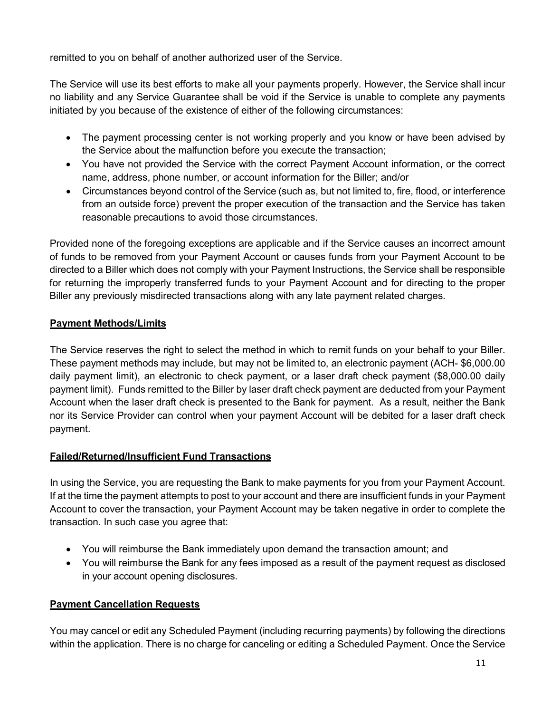remitted to you on behalf of another authorized user of the Service.

The Service will use its best efforts to make all your payments properly. However, the Service shall incur no liability and any Service Guarantee shall be void if the Service is unable to complete any payments initiated by you because of the existence of either of the following circumstances:

- The payment processing center is not working properly and you know or have been advised by the Service about the malfunction before you execute the transaction;
- You have not provided the Service with the correct Payment Account information, or the correct name, address, phone number, or account information for the Biller; and/or
- Circumstances beyond control of the Service (such as, but not limited to, fire, flood, or interference from an outside force) prevent the proper execution of the transaction and the Service has taken reasonable precautions to avoid those circumstances.

Provided none of the foregoing exceptions are applicable and if the Service causes an incorrect amount of funds to be removed from your Payment Account or causes funds from your Payment Account to be directed to a Biller which does not comply with your Payment Instructions, the Service shall be responsible for returning the improperly transferred funds to your Payment Account and for directing to the proper Biller any previously misdirected transactions along with any late payment related charges.

# **Payment Methods/Limits**

The Service reserves the right to select the method in which to remit funds on your behalf to your Biller. These payment methods may include, but may not be limited to, an electronic payment (ACH- \$6,000.00 daily payment limit), an electronic to check payment, or a laser draft check payment (\$8,000.00 daily payment limit). Funds remitted to the Biller by laser draft check payment are deducted from your Payment Account when the laser draft check is presented to the Bank for payment. As a result, neither the Bank nor its Service Provider can control when your payment Account will be debited for a laser draft check payment.

# **Failed/Returned/Insufficient Fund Transactions**

In using the Service, you are requesting the Bank to make payments for you from your Payment Account. If at the time the payment attempts to post to your account and there are insufficient funds in your Payment Account to cover the transaction, your Payment Account may be taken negative in order to complete the transaction. In such case you agree that:

- You will reimburse the Bank immediately upon demand the transaction amount; and
- You will reimburse the Bank for any fees imposed as a result of the payment request as disclosed in your account opening disclosures.

# **Payment Cancellation Requests**

You may cancel or edit any Scheduled Payment (including recurring payments) by following the directions within the application. There is no charge for canceling or editing a Scheduled Payment. Once the Service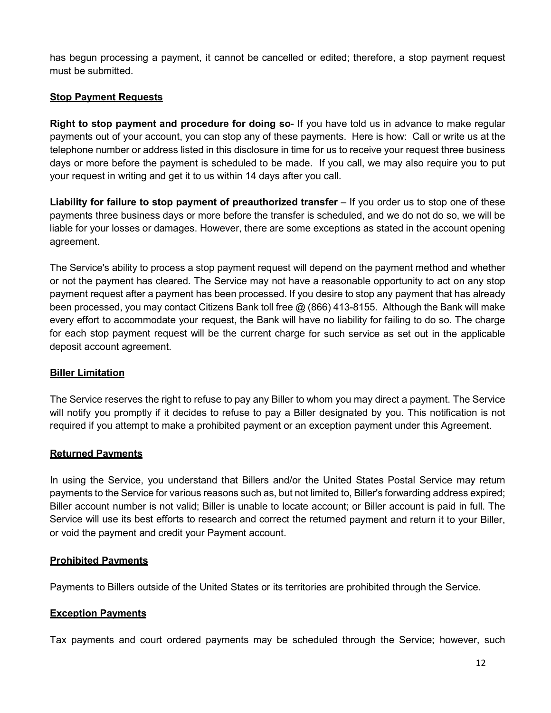has begun processing a payment, it cannot be cancelled or edited; therefore, a stop payment request must be submitted.

#### **Stop Payment Requests**

**Right to stop payment and procedure for doing so**- If you have told us in advance to make regular payments out of your account, you can stop any of these payments. Here is how: Call or write us at the telephone number or address listed in this disclosure in time for us to receive your request three business days or more before the payment is scheduled to be made. If you call, we may also require you to put your request in writing and get it to us within 14 days after you call.

**Liability for failure to stop payment of preauthorized transfer** – If you order us to stop one of these payments three business days or more before the transfer is scheduled, and we do not do so, we will be liable for your losses or damages. However, there are some exceptions as stated in the account opening agreement.

The Service's ability to process a stop payment request will depend on the payment method and whether or not the payment has cleared. The Service may not have a reasonable opportunity to act on any stop payment request after a payment has been processed. If you desire to stop any payment that has already been processed, you may contact Citizens Bank toll free @ (866) 413-8155. Although the Bank will make every effort to accommodate your request, the Bank will have no liability for failing to do so. The charge for each stop payment request will be the current charge for such service as set out in the applicable deposit account agreement.

#### **Biller Limitation**

The Service reserves the right to refuse to pay any Biller to whom you may direct a payment. The Service will notify you promptly if it decides to refuse to pay a Biller designated by you. This notification is not required if you attempt to make a prohibited payment or an exception payment under this Agreement.

#### **Returned Payments**

In using the Service, you understand that Billers and/or the United States Postal Service may return payments to the Service for various reasons such as, but not limited to, Biller's forwarding address expired; Biller account number is not valid; Biller is unable to locate account; or Biller account is paid in full. The Service will use its best efforts to research and correct the returned payment and return it to your Biller, or void the payment and credit your Payment account.

#### **Prohibited Payments**

Payments to Billers outside of the United States or its territories are prohibited through the Service.

#### **Exception Payments**

Tax payments and court ordered payments may be scheduled through the Service; however, such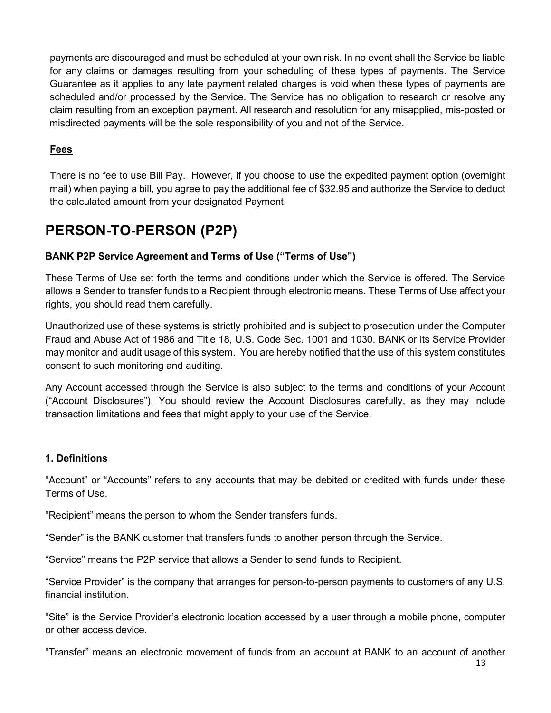payments are discouraged and must be scheduled at your own risk. In no event shall the Service be liable for any claims or damages resulting from your scheduling of these types of payments. The Service Guarantee as it applies to any late payment related charges is void when these types of payments are scheduled and/or processed by the Service. The Service has no obligation to research or resolve any claim resulting from an exception payment. All research and resolution for any misapplied, mis-posted or misdirected payments will be the sole responsibility of you and not of the Service.

# **Fees**

There is no fee to use Bill Pay. However, if you choose to use the expedited payment option (overnight mail) when paying a bill, you agree to pay the additional fee of \$32.95 and authorize the Service to deduct the calculated amount from your designated Payment.

# **PERSON-TO-PERSON (P2P)**

# **BANK P2P Service Agreement and Terms of Use ("Terms of Use")**

These Terms of Use set forth the terms and conditions under which the Service is offered. The Service allows a Sender to transfer funds to a Recipient through electronic means. These Terms of Use affect your rights, you should read them carefully.

Unauthorized use of these systems is strictly prohibited and is subject to prosecution under the Computer Fraud and Abuse Act of 1986 and Title 18, U.S. Code Sec. 1001 and 1030. BANK or its Service Provider may monitor and audit usage of this system. You are hereby notified that the use of this system constitutes consent to such monitoring and auditing.

Any Account accessed through the Service is also subject to the terms and conditions of your Account ("Account Disclosures"). You should review the Account Disclosures carefully, as they may include transaction limitations and fees that might apply to your use of the Service.

## **1. Definitions**

"Account" or "Accounts" refers to any accounts that may be debited or credited with funds under these Terms of Use.

"Recipient" means the person to whom the Sender transfers funds.

"Sender" is the BANK customer that transfers funds to another person through the Service.

"Service" means the P2P service that allows a Sender to send funds to Recipient.

"Service Provider" is the company that arranges for person-to-person payments to customers of any U.S. financial institution.

"Site" is the Service Provider's electronic location accessed by a user through a mobile phone, computer or other access device.

"Transfer" means an electronic movement of funds from an account at BANK to an account of another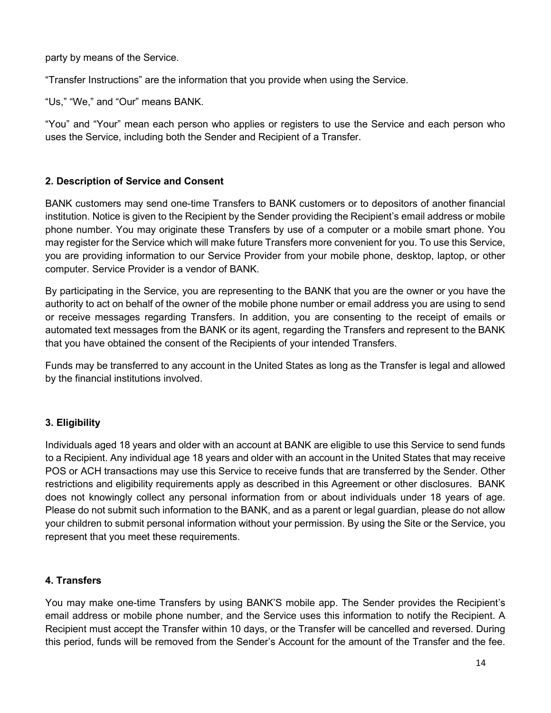party by means of the Service.

"Transfer Instructions" are the information that you provide when using the Service.

"Us," "We," and "Our" means BANK.

"You" and "Your" mean each person who applies or registers to use the Service and each person who uses the Service, including both the Sender and Recipient of a Transfer.

## **2. Description of Service and Consent**

BANK customers may send one-time Transfers to BANK customers or to depositors of another financial institution. Notice is given to the Recipient by the Sender providing the Recipient's email address or mobile phone number. You may originate these Transfers by use of a computer or a mobile smart phone. You may register for the Service which will make future Transfers more convenient for you. To use this Service, you are providing information to our Service Provider from your mobile phone, desktop, laptop, or other computer. Service Provider is a vendor of BANK.

By participating in the Service, you are representing to the BANK that you are the owner or you have the authority to act on behalf of the owner of the mobile phone number or email address you are using to send or receive messages regarding Transfers. In addition, you are consenting to the receipt of emails or automated text messages from the BANK or its agent, regarding the Transfers and represent to the BANK that you have obtained the consent of the Recipients of your intended Transfers.

Funds may be transferred to any account in the United States as long as the Transfer is legal and allowed by the financial institutions involved.

## **3. Eligibility**

Individuals aged 18 years and older with an account at BANK are eligible to use this Service to send funds to a Recipient. Any individual age 18 years and older with an account in the United States that may receive POS or ACH transactions may use this Service to receive funds that are transferred by the Sender. Other restrictions and eligibility requirements apply as described in this Agreement or other disclosures. BANK does not knowingly collect any personal information from or about individuals under 18 years of age. Please do not submit such information to the BANK, and as a parent or legal guardian, please do not allow your children to submit personal information without your permission. By using the Site or the Service, you represent that you meet these requirements.

## **4. Transfers**

You may make one-time Transfers by using BANK'S mobile app. The Sender provides the Recipient's email address or mobile phone number, and the Service uses this information to notify the Recipient. A Recipient must accept the Transfer within 10 days, or the Transfer will be cancelled and reversed. During this period, funds will be removed from the Sender's Account for the amount of the Transfer and the fee.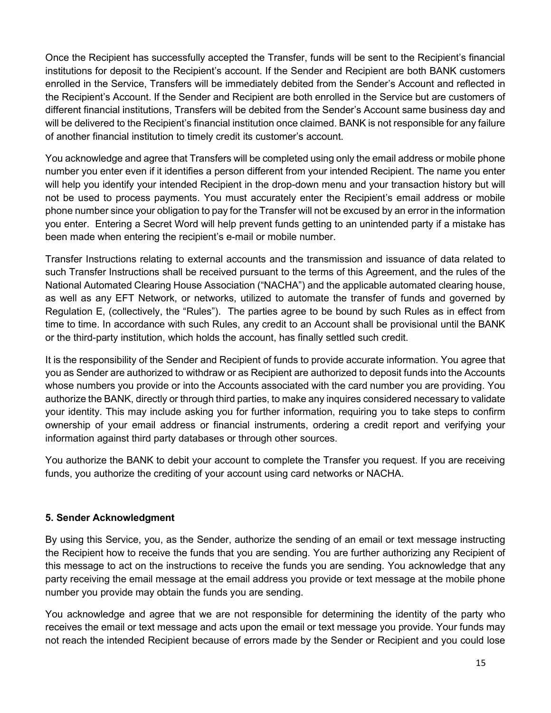Once the Recipient has successfully accepted the Transfer, funds will be sent to the Recipient's financial institutions for deposit to the Recipient's account. If the Sender and Recipient are both BANK customers enrolled in the Service, Transfers will be immediately debited from the Sender's Account and reflected in the Recipient's Account. If the Sender and Recipient are both enrolled in the Service but are customers of different financial institutions, Transfers will be debited from the Sender's Account same business day and will be delivered to the Recipient's financial institution once claimed. BANK is not responsible for any failure of another financial institution to timely credit its customer's account.

You acknowledge and agree that Transfers will be completed using only the email address or mobile phone number you enter even if it identifies a person different from your intended Recipient. The name you enter will help you identify your intended Recipient in the drop-down menu and your transaction history but will not be used to process payments. You must accurately enter the Recipient's email address or mobile phone number since your obligation to pay for the Transfer will not be excused by an error in the information you enter. Entering a Secret Word will help prevent funds getting to an unintended party if a mistake has been made when entering the recipient's e-mail or mobile number.

Transfer Instructions relating to external accounts and the transmission and issuance of data related to such Transfer Instructions shall be received pursuant to the terms of this Agreement, and the rules of the National Automated Clearing House Association ("NACHA") and the applicable automated clearing house, as well as any EFT Network, or networks, utilized to automate the transfer of funds and governed by Regulation E, (collectively, the "Rules"). The parties agree to be bound by such Rules as in effect from time to time. In accordance with such Rules, any credit to an Account shall be provisional until the BANK or the third-party institution, which holds the account, has finally settled such credit.

It is the responsibility of the Sender and Recipient of funds to provide accurate information. You agree that you as Sender are authorized to withdraw or as Recipient are authorized to deposit funds into the Accounts whose numbers you provide or into the Accounts associated with the card number you are providing. You authorize the BANK, directly or through third parties, to make any inquires considered necessary to validate your identity. This may include asking you for further information, requiring you to take steps to confirm ownership of your email address or financial instruments, ordering a credit report and verifying your information against third party databases or through other sources.

You authorize the BANK to debit your account to complete the Transfer you request. If you are receiving funds, you authorize the crediting of your account using card networks or NACHA.

## **5. Sender Acknowledgment**

By using this Service, you, as the Sender, authorize the sending of an email or text message instructing the Recipient how to receive the funds that you are sending. You are further authorizing any Recipient of this message to act on the instructions to receive the funds you are sending. You acknowledge that any party receiving the email message at the email address you provide or text message at the mobile phone number you provide may obtain the funds you are sending.

You acknowledge and agree that we are not responsible for determining the identity of the party who receives the email or text message and acts upon the email or text message you provide. Your funds may not reach the intended Recipient because of errors made by the Sender or Recipient and you could lose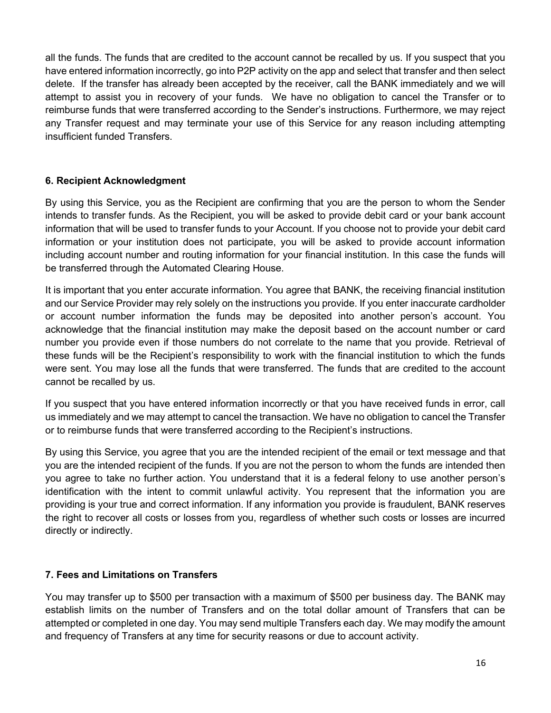all the funds. The funds that are credited to the account cannot be recalled by us. If you suspect that you have entered information incorrectly, go into P2P activity on the app and select that transfer and then select delete. If the transfer has already been accepted by the receiver, call the BANK immediately and we will attempt to assist you in recovery of your funds. We have no obligation to cancel the Transfer or to reimburse funds that were transferred according to the Sender's instructions. Furthermore, we may reject any Transfer request and may terminate your use of this Service for any reason including attempting insufficient funded Transfers.

## **6. Recipient Acknowledgment**

By using this Service, you as the Recipient are confirming that you are the person to whom the Sender intends to transfer funds. As the Recipient, you will be asked to provide debit card or your bank account information that will be used to transfer funds to your Account. If you choose not to provide your debit card information or your institution does not participate, you will be asked to provide account information including account number and routing information for your financial institution. In this case the funds will be transferred through the Automated Clearing House.

It is important that you enter accurate information. You agree that BANK, the receiving financial institution and our Service Provider may rely solely on the instructions you provide. If you enter inaccurate cardholder or account number information the funds may be deposited into another person's account. You acknowledge that the financial institution may make the deposit based on the account number or card number you provide even if those numbers do not correlate to the name that you provide. Retrieval of these funds will be the Recipient's responsibility to work with the financial institution to which the funds were sent. You may lose all the funds that were transferred. The funds that are credited to the account cannot be recalled by us.

If you suspect that you have entered information incorrectly or that you have received funds in error, call us immediately and we may attempt to cancel the transaction. We have no obligation to cancel the Transfer or to reimburse funds that were transferred according to the Recipient's instructions.

By using this Service, you agree that you are the intended recipient of the email or text message and that you are the intended recipient of the funds. If you are not the person to whom the funds are intended then you agree to take no further action. You understand that it is a federal felony to use another person's identification with the intent to commit unlawful activity. You represent that the information you are providing is your true and correct information. If any information you provide is fraudulent, BANK reserves the right to recover all costs or losses from you, regardless of whether such costs or losses are incurred directly or indirectly.

## **7. Fees and Limitations on Transfers**

You may transfer up to \$500 per transaction with a maximum of \$500 per business day. The BANK may establish limits on the number of Transfers and on the total dollar amount of Transfers that can be attempted or completed in one day. You may send multiple Transfers each day. We may modify the amount and frequency of Transfers at any time for security reasons or due to account activity.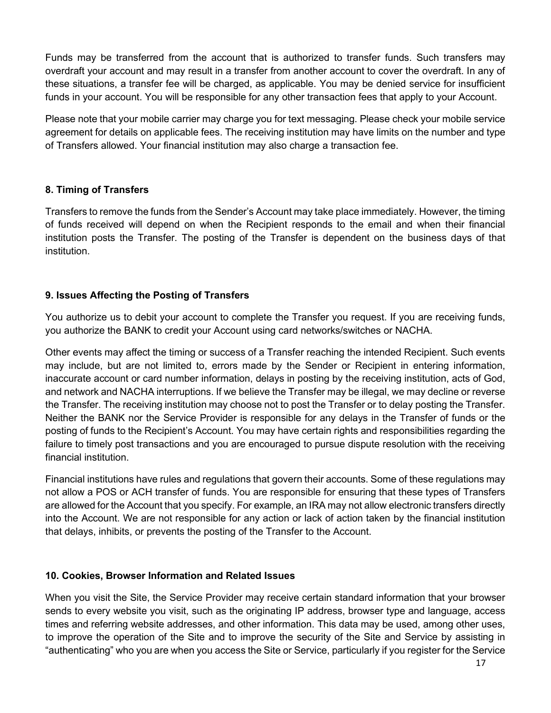Funds may be transferred from the account that is authorized to transfer funds. Such transfers may overdraft your account and may result in a transfer from another account to cover the overdraft. In any of these situations, a transfer fee will be charged, as applicable. You may be denied service for insufficient funds in your account. You will be responsible for any other transaction fees that apply to your Account.

Please note that your mobile carrier may charge you for text messaging. Please check your mobile service agreement for details on applicable fees. The receiving institution may have limits on the number and type of Transfers allowed. Your financial institution may also charge a transaction fee.

# **8. Timing of Transfers**

Transfers to remove the funds from the Sender's Account may take place immediately. However, the timing of funds received will depend on when the Recipient responds to the email and when their financial institution posts the Transfer. The posting of the Transfer is dependent on the business days of that institution.

# **9. Issues Affecting the Posting of Transfers**

You authorize us to debit your account to complete the Transfer you request. If you are receiving funds, you authorize the BANK to credit your Account using card networks/switches or NACHA.

Other events may affect the timing or success of a Transfer reaching the intended Recipient. Such events may include, but are not limited to, errors made by the Sender or Recipient in entering information, inaccurate account or card number information, delays in posting by the receiving institution, acts of God, and network and NACHA interruptions. If we believe the Transfer may be illegal, we may decline or reverse the Transfer. The receiving institution may choose not to post the Transfer or to delay posting the Transfer. Neither the BANK nor the Service Provider is responsible for any delays in the Transfer of funds or the posting of funds to the Recipient's Account. You may have certain rights and responsibilities regarding the failure to timely post transactions and you are encouraged to pursue dispute resolution with the receiving financial institution.

Financial institutions have rules and regulations that govern their accounts. Some of these regulations may not allow a POS or ACH transfer of funds. You are responsible for ensuring that these types of Transfers are allowed for the Account that you specify. For example, an IRA may not allow electronic transfers directly into the Account. We are not responsible for any action or lack of action taken by the financial institution that delays, inhibits, or prevents the posting of the Transfer to the Account.

## **10. Cookies, Browser Information and Related Issues**

When you visit the Site, the Service Provider may receive certain standard information that your browser sends to every website you visit, such as the originating IP address, browser type and language, access times and referring website addresses, and other information. This data may be used, among other uses, to improve the operation of the Site and to improve the security of the Site and Service by assisting in "authenticating" who you are when you access the Site or Service, particularly if you register for the Service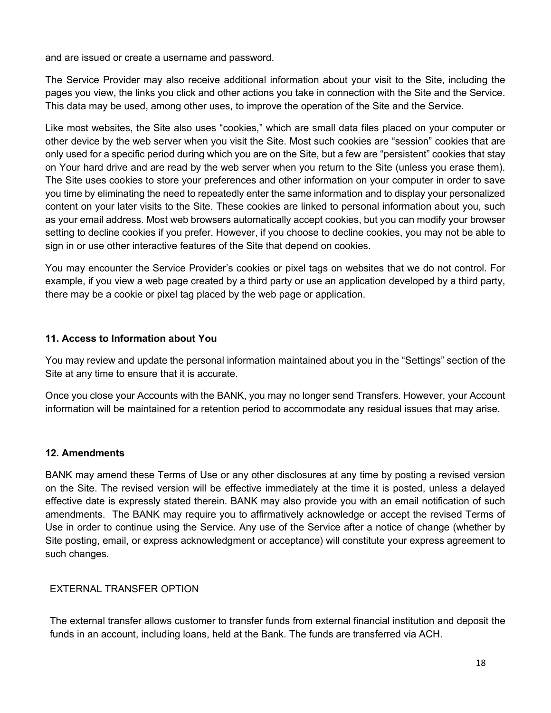and are issued or create a username and password.

The Service Provider may also receive additional information about your visit to the Site, including the pages you view, the links you click and other actions you take in connection with the Site and the Service. This data may be used, among other uses, to improve the operation of the Site and the Service.

Like most websites, the Site also uses "cookies," which are small data files placed on your computer or other device by the web server when you visit the Site. Most such cookies are "session" cookies that are only used for a specific period during which you are on the Site, but a few are "persistent" cookies that stay on Your hard drive and are read by the web server when you return to the Site (unless you erase them). The Site uses cookies to store your preferences and other information on your computer in order to save you time by eliminating the need to repeatedly enter the same information and to display your personalized content on your later visits to the Site. These cookies are linked to personal information about you, such as your email address. Most web browsers automatically accept cookies, but you can modify your browser setting to decline cookies if you prefer. However, if you choose to decline cookies, you may not be able to sign in or use other interactive features of the Site that depend on cookies.

You may encounter the Service Provider's cookies or pixel tags on websites that we do not control. For example, if you view a web page created by a third party or use an application developed by a third party, there may be a cookie or pixel tag placed by the web page or application.

#### **11. Access to Information about You**

You may review and update the personal information maintained about you in the "Settings" section of the Site at any time to ensure that it is accurate.

Once you close your Accounts with the BANK, you may no longer send Transfers. However, your Account information will be maintained for a retention period to accommodate any residual issues that may arise.

## **12. Amendments**

BANK may amend these Terms of Use or any other disclosures at any time by posting a revised version on the Site. The revised version will be effective immediately at the time it is posted, unless a delayed effective date is expressly stated therein. BANK may also provide you with an email notification of such amendments. The BANK may require you to affirmatively acknowledge or accept the revised Terms of Use in order to continue using the Service. Any use of the Service after a notice of change (whether by Site posting, email, or express acknowledgment or acceptance) will constitute your express agreement to such changes.

## EXTERNAL TRANSFER OPTION

The external transfer allows customer to transfer funds from external financial institution and deposit the funds in an account, including loans, held at the Bank. The funds are transferred via ACH.